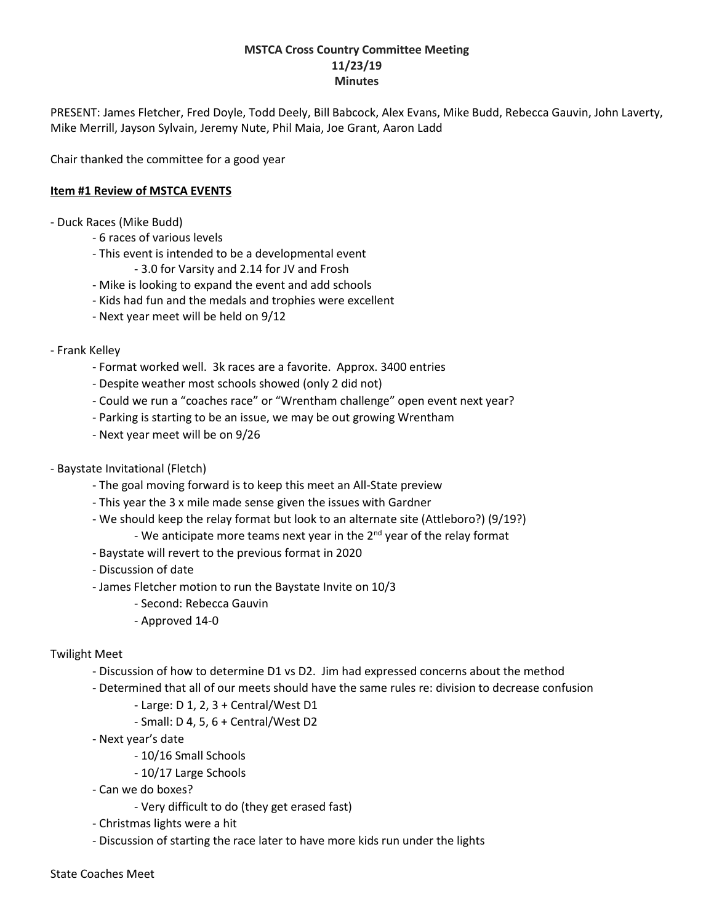#### **MSTCA Cross Country Committee Meeting 11/23/19 Minutes**

PRESENT: James Fletcher, Fred Doyle, Todd Deely, Bill Babcock, Alex Evans, Mike Budd, Rebecca Gauvin, John Laverty, Mike Merrill, Jayson Sylvain, Jeremy Nute, Phil Maia, Joe Grant, Aaron Ladd

Chair thanked the committee for a good year

#### **Item #1 Review of MSTCA EVENTS**

- Duck Races (Mike Budd)

- 6 races of various levels
- This event is intended to be a developmental event
	- 3.0 for Varsity and 2.14 for JV and Frosh
- Mike is looking to expand the event and add schools
- Kids had fun and the medals and trophies were excellent
- Next year meet will be held on 9/12
- Frank Kelley
	- Format worked well. 3k races are a favorite. Approx. 3400 entries
	- Despite weather most schools showed (only 2 did not)
	- Could we run a "coaches race" or "Wrentham challenge" open event next year?
	- Parking is starting to be an issue, we may be out growing Wrentham
	- Next year meet will be on 9/26
- Baystate Invitational (Fletch)
	- The goal moving forward is to keep this meet an All-State preview
	- This year the 3 x mile made sense given the issues with Gardner
	- We should keep the relay format but look to an alternate site (Attleboro?) (9/19?)
	- We anticipate more teams next year in the  $2<sup>nd</sup>$  year of the relay format
	- Baystate will revert to the previous format in 2020
	- Discussion of date
	- James Fletcher motion to run the Baystate Invite on 10/3
		- Second: Rebecca Gauvin
		- Approved 14-0

#### Twilight Meet

- Discussion of how to determine D1 vs D2. Jim had expressed concerns about the method
- Determined that all of our meets should have the same rules re: division to decrease confusion
	- Large: D 1, 2, 3 + Central/West D1
	- Small: D 4, 5, 6 + Central/West D2
- Next year's date
	- 10/16 Small Schools
	- 10/17 Large Schools
- Can we do boxes?
	- Very difficult to do (they get erased fast)
- Christmas lights were a hit
- Discussion of starting the race later to have more kids run under the lights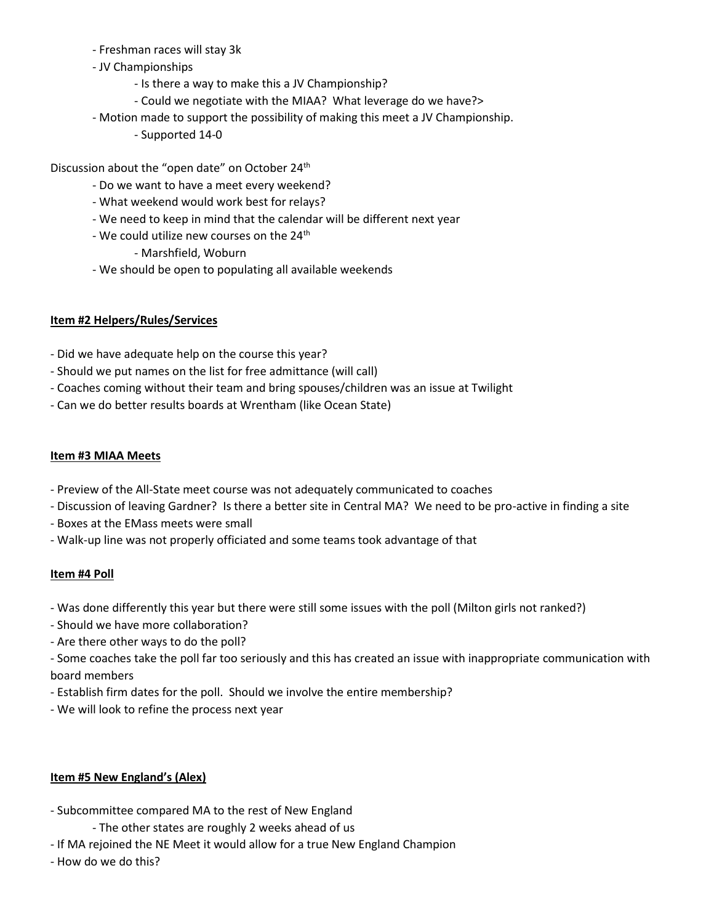- Freshman races will stay 3k
- JV Championships
	- Is there a way to make this a JV Championship?
	- Could we negotiate with the MIAA? What leverage do we have?>
- Motion made to support the possibility of making this meet a JV Championship.
	- Supported 14-0

Discussion about the "open date" on October 24<sup>th</sup>

- Do we want to have a meet every weekend?
- What weekend would work best for relays?
- We need to keep in mind that the calendar will be different next year
- We could utilize new courses on the 24<sup>th</sup>
	- Marshfield, Woburn
- We should be open to populating all available weekends

## **Item #2 Helpers/Rules/Services**

- Did we have adequate help on the course this year?
- Should we put names on the list for free admittance (will call)
- Coaches coming without their team and bring spouses/children was an issue at Twilight
- Can we do better results boards at Wrentham (like Ocean State)

### **Item #3 MIAA Meets**

- Preview of the All-State meet course was not adequately communicated to coaches
- Discussion of leaving Gardner? Is there a better site in Central MA? We need to be pro-active in finding a site
- Boxes at the EMass meets were small
- Walk-up line was not properly officiated and some teams took advantage of that

#### **Item #4 Poll**

- Was done differently this year but there were still some issues with the poll (Milton girls not ranked?)
- Should we have more collaboration?
- Are there other ways to do the poll?
- Some coaches take the poll far too seriously and this has created an issue with inappropriate communication with board members
- Establish firm dates for the poll. Should we involve the entire membership?
- We will look to refine the process next year

# **Item #5 New England's (Alex)**

- Subcommittee compared MA to the rest of New England
	- The other states are roughly 2 weeks ahead of us
- If MA rejoined the NE Meet it would allow for a true New England Champion
- How do we do this?